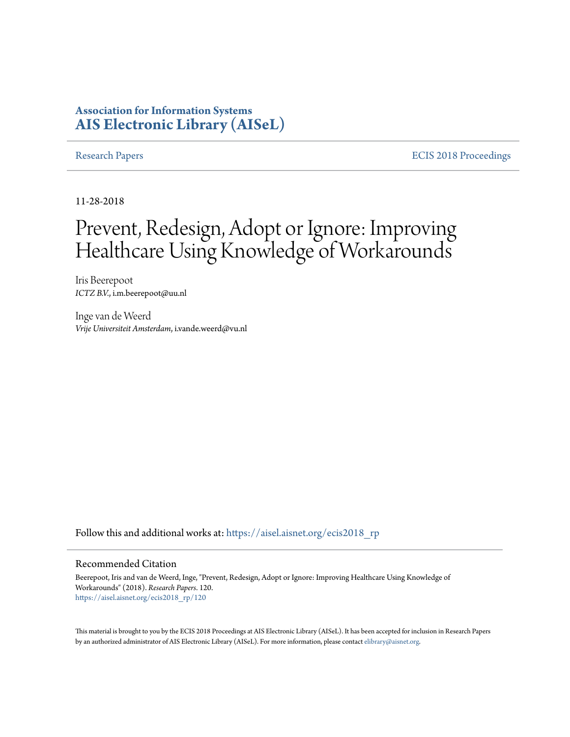### **Association for Information Systems [AIS Electronic Library \(AISeL\)](https://aisel.aisnet.org?utm_source=aisel.aisnet.org%2Fecis2018_rp%2F120&utm_medium=PDF&utm_campaign=PDFCoverPages)**

[Research Papers](https://aisel.aisnet.org/ecis2018_rp?utm_source=aisel.aisnet.org%2Fecis2018_rp%2F120&utm_medium=PDF&utm_campaign=PDFCoverPages) **ECIS** 2018 Proceedings

11-28-2018

# Prevent, Redesign, Adopt or Ignore: Improving Healthcare Using Knowledge of Workarounds

Iris Beerepoot *ICTZ B.V.*, i.m.beerepoot@uu.nl

Inge van de Weerd *Vrije Universiteit Amsterdam*, i.vande.weerd@vu.nl

Follow this and additional works at: [https://aisel.aisnet.org/ecis2018\\_rp](https://aisel.aisnet.org/ecis2018_rp?utm_source=aisel.aisnet.org%2Fecis2018_rp%2F120&utm_medium=PDF&utm_campaign=PDFCoverPages)

#### Recommended Citation

Beerepoot, Iris and van de Weerd, Inge, "Prevent, Redesign, Adopt or Ignore: Improving Healthcare Using Knowledge of Workarounds" (2018). *Research Papers*. 120. [https://aisel.aisnet.org/ecis2018\\_rp/120](https://aisel.aisnet.org/ecis2018_rp/120?utm_source=aisel.aisnet.org%2Fecis2018_rp%2F120&utm_medium=PDF&utm_campaign=PDFCoverPages)

This material is brought to you by the ECIS 2018 Proceedings at AIS Electronic Library (AISeL). It has been accepted for inclusion in Research Papers by an authorized administrator of AIS Electronic Library (AISeL). For more information, please contact [elibrary@aisnet.org](mailto:elibrary@aisnet.org%3E).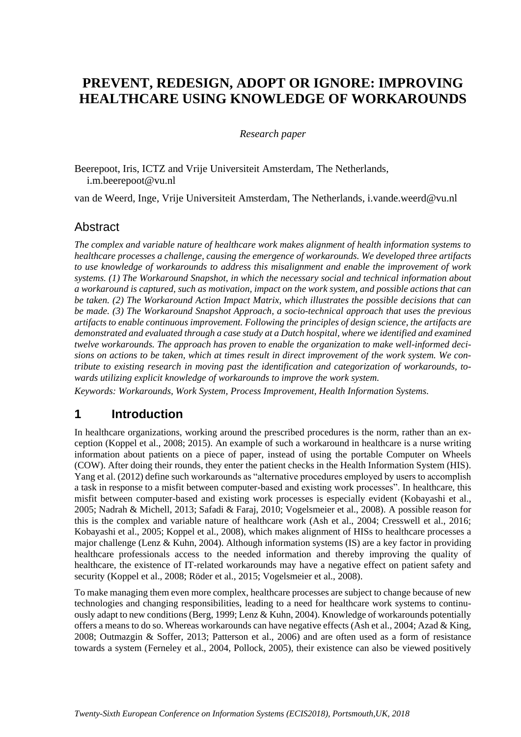# **PREVENT, REDESIGN, ADOPT OR IGNORE: IMPROVING HEALTHCARE USING KNOWLEDGE OF WORKAROUNDS**

*Research paper*

Beerepoot, Iris, ICTZ and Vrije Universiteit Amsterdam, The Netherlands, i.m.beerepoot@vu.nl

van de Weerd, Inge, Vrije Universiteit Amsterdam, The Netherlands, i.vande.weerd@vu.nl

#### **Abstract**

*The complex and variable nature of healthcare work makes alignment of health information systems to healthcare processes a challenge, causing the emergence of workarounds. We developed three artifacts to use knowledge of workarounds to address this misalignment and enable the improvement of work systems. (1) The Workaround Snapshot, in which the necessary social and technical information about a workaround is captured, such as motivation, impact on the work system, and possible actions that can be taken. (2) The Workaround Action Impact Matrix, which illustrates the possible decisions that can be made.* (3) The Workaround Snapshot Approach, a socio-technical approach that uses the previous *artifacts to enable continuous improvement. Following the principles of design science, the artifacts are demonstrated and evaluated through a case study at a Dutch hospital, where we identified and examined twelve workarounds. The approach has proven to enable the organization to make well-informed decisions on actions to be taken, which at times result in direct improvement of the work system. We contribute to existing research in moving past the identification and categorization of workarounds, towards utilizing explicit knowledge of workarounds to improve the work system.*

*Keywords: Workarounds, Work System, Process Improvement, Health Information Systems.*

### **1 Introduction**

In healthcare organizations, working around the prescribed procedures is the norm, rather than an exception (Koppel et al., 2008; 2015). An example of such a workaround in healthcare is a nurse writing information about patients on a piece of paper, instead of using the portable Computer on Wheels (COW). After doing their rounds, they enter the patient checks in the Health Information System (HIS). Yang et al. (2012) define such workarounds as "alternative procedures employed by users to accomplish a task in response to a misfit between computer-based and existing work processes". In healthcare, this misfit between computer-based and existing work processes is especially evident (Kobayashi et al., 2005; Nadrah & Michell, 2013; Safadi & Faraj, 2010; Vogelsmeier et al., 2008). A possible reason for this is the complex and variable nature of healthcare work (Ash et al., 2004; Cresswell et al., 2016; Kobayashi et al., 2005; Koppel et al., 2008), which makes alignment of HISs to healthcare processes a major challenge (Lenz & Kuhn, 2004). Although information systems (IS) are a key factor in providing healthcare professionals access to the needed information and thereby improving the quality of healthcare, the existence of IT-related workarounds may have a negative effect on patient safety and security (Koppel et al., 2008; Röder et al., 2015; Vogelsmeier et al., 2008).

To make managing them even more complex, healthcare processes are subject to change because of new technologies and changing responsibilities, leading to a need for healthcare work systems to continuously adapt to new conditions (Berg, 1999; Lenz & Kuhn, 2004). Knowledge of workarounds potentially offers a means to do so. Whereas workarounds can have negative effects (Ash et al., 2004; Azad & King, 2008; Outmazgin & Soffer, 2013; Patterson et al., 2006) and are often used as a form of resistance towards a system (Ferneley et al., 2004, Pollock, 2005), their existence can also be viewed positively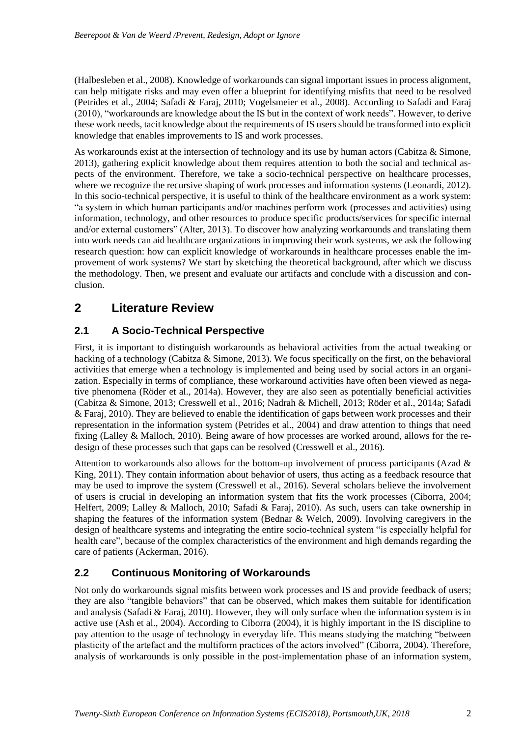(Halbesleben et al., 2008). Knowledge of workarounds can signal important issues in process alignment, can help mitigate risks and may even offer a blueprint for identifying misfits that need to be resolved (Petrides et al., 2004; Safadi & Faraj, 2010; Vogelsmeier et al., 2008). According to Safadi and Faraj (2010), "workarounds are knowledge about the IS but in the context of work needs". However, to derive these work needs, tacit knowledge about the requirements of IS users should be transformed into explicit knowledge that enables improvements to IS and work processes.

As workarounds exist at the intersection of technology and its use by human actors (Cabitza & Simone, 2013), gathering explicit knowledge about them requires attention to both the social and technical aspects of the environment. Therefore, we take a socio-technical perspective on healthcare processes, where we recognize the recursive shaping of work processes and information systems (Leonardi, 2012). In this socio-technical perspective, it is useful to think of the healthcare environment as a work system: "a system in which human participants and/or machines perform work (processes and activities) using information, technology, and other resources to produce specific products/services for specific internal and/or external customers" (Alter, 2013). To discover how analyzing workarounds and translating them into work needs can aid healthcare organizations in improving their work systems, we ask the following research question: how can explicit knowledge of workarounds in healthcare processes enable the improvement of work systems? We start by sketching the theoretical background, after which we discuss the methodology. Then, we present and evaluate our artifacts and conclude with a discussion and conclusion.

# **2 Literature Review**

#### **2.1 A Socio-Technical Perspective**

First, it is important to distinguish workarounds as behavioral activities from the actual tweaking or hacking of a technology (Cabitza & Simone, 2013). We focus specifically on the first, on the behavioral activities that emerge when a technology is implemented and being used by social actors in an organization. Especially in terms of compliance, these workaround activities have often been viewed as negative phenomena (Röder et al., 2014a). However, they are also seen as potentially beneficial activities (Cabitza & Simone, 2013; Cresswell et al., 2016; Nadrah & Michell, 2013; Röder et al., 2014a; Safadi & Faraj, 2010). They are believed to enable the identification of gaps between work processes and their representation in the information system (Petrides et al., 2004) and draw attention to things that need fixing (Lalley & Malloch, 2010). Being aware of how processes are worked around, allows for the redesign of these processes such that gaps can be resolved (Cresswell et al., 2016).

Attention to workarounds also allows for the bottom-up involvement of process participants (Azad & King, 2011). They contain information about behavior of users, thus acting as a feedback resource that may be used to improve the system (Cresswell et al., 2016). Several scholars believe the involvement of users is crucial in developing an information system that fits the work processes (Ciborra, 2004; Helfert, 2009; Lalley & Malloch, 2010; Safadi & Faraj, 2010). As such, users can take ownership in shaping the features of the information system (Bednar & Welch, 2009). Involving caregivers in the design of healthcare systems and integrating the entire socio-technical system "is especially helpful for health care", because of the complex characteristics of the environment and high demands regarding the care of patients (Ackerman, 2016).

#### **2.2 Continuous Monitoring of Workarounds**

Not only do workarounds signal misfits between work processes and IS and provide feedback of users; they are also "tangible behaviors" that can be observed, which makes them suitable for identification and analysis (Safadi & Faraj, 2010). However, they will only surface when the information system is in active use (Ash et al., 2004). According to Ciborra (2004), it is highly important in the IS discipline to pay attention to the usage of technology in everyday life. This means studying the matching "between plasticity of the artefact and the multiform practices of the actors involved" (Ciborra, 2004). Therefore, analysis of workarounds is only possible in the post-implementation phase of an information system,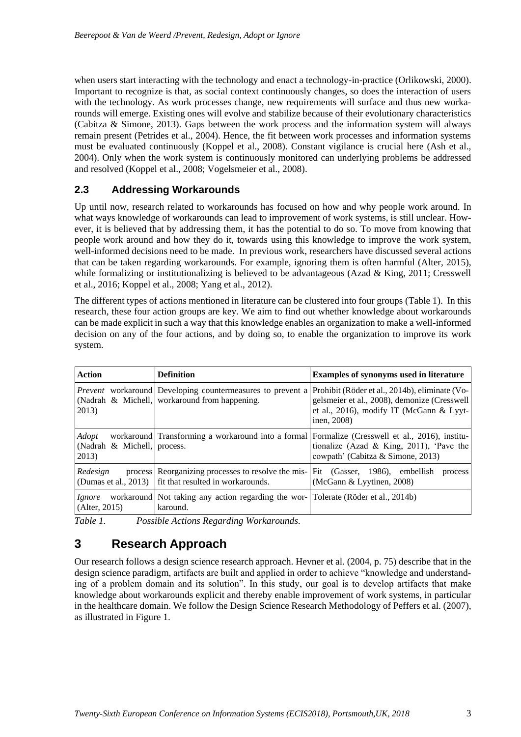when users start interacting with the technology and enact a technology-in-practice (Orlikowski, 2000). Important to recognize is that, as social context continuously changes, so does the interaction of users with the technology. As work processes change, new requirements will surface and thus new workarounds will emerge. Existing ones will evolve and stabilize because of their evolutionary characteristics (Cabitza & Simone, 2013). Gaps between the work process and the information system will always remain present (Petrides et al., 2004). Hence, the fit between work processes and information systems must be evaluated continuously (Koppel et al., 2008). Constant vigilance is crucial here (Ash et al., 2004). Only when the work system is continuously monitored can underlying problems be addressed and resolved (Koppel et al., 2008; Vogelsmeier et al., 2008).

#### **2.3 Addressing Workarounds**

Up until now, research related to workarounds has focused on how and why people work around. In what ways knowledge of workarounds can lead to improvement of work systems, is still unclear. However, it is believed that by addressing them, it has the potential to do so. To move from knowing that people work around and how they do it, towards using this knowledge to improve the work system, well-informed decisions need to be made. In previous work, researchers have discussed several actions that can be taken regarding workarounds. For example, ignoring them is often harmful (Alter, 2015), while formalizing or institutionalizing is believed to be advantageous (Azad  $\&$  King, 2011; Cresswell et al., 2016; Koppel et al., 2008; Yang et al., 2012).

The different types of actions mentioned in literature can be clustered into four groups (Table 1). In this research, these four action groups are key. We aim to find out whether knowledge about workarounds can be made explicit in such a way that this knowledge enables an organization to make a well-informed decision on any of the four actions, and by doing so, to enable the organization to improve its work system.

| <b>Action</b>                                 | <b>Definition</b>                                                                                                                            | <b>Examples of synonyms used in literature</b>                                                                                                                                   |  |
|-----------------------------------------------|----------------------------------------------------------------------------------------------------------------------------------------------|----------------------------------------------------------------------------------------------------------------------------------------------------------------------------------|--|
| 2013)                                         | <i>Prevent</i> workaround Developing countermeasures to prevent a<br>(Nadrah & Michell, workaround from happening.                           | Prohibit (Röder et al., 2014b), eliminate (Vo-<br>gelsmeier et al., 2008), demonize (Cresswell<br>et al., 2016), modify IT (McGann & Lyyt-<br>inen, 2008)                        |  |
| Adopt<br>(Nadrah & Michell, process.<br>2013) |                                                                                                                                              | workaround Transforming a workaround into a formal Formalize (Cresswell et al., 2016), institu-<br>tionalize (Azad & King, 2011), 'Pave the<br>cowpath' (Cabitza & Simone, 2013) |  |
| Redesign                                      | process Reorganizing processes to resolve the mis- Fit (Gasser, 1986), embellish<br>(Dumas et al., 2013)   fit that resulted in workarounds. | process<br>(McGann & Lyytinen, 2008)                                                                                                                                             |  |
| <i>Ignore</i><br>(AIter, 2015)                | workaround Not taking any action regarding the wor- Tolerate (Röder et al., 2014b)<br>karound.                                               |                                                                                                                                                                                  |  |

*Table 1. Possible Actions Regarding Workarounds.*

# **3 Research Approach**

Our research follows a design science research approach. Hevner et al. (2004, p. 75) describe that in the design science paradigm, artifacts are built and applied in order to achieve "knowledge and understanding of a problem domain and its solution". In this study, our goal is to develop artifacts that make knowledge about workarounds explicit and thereby enable improvement of work systems, in particular in the healthcare domain. We follow the Design Science Research Methodology of Peffers et al. (2007), as illustrated in Figure 1.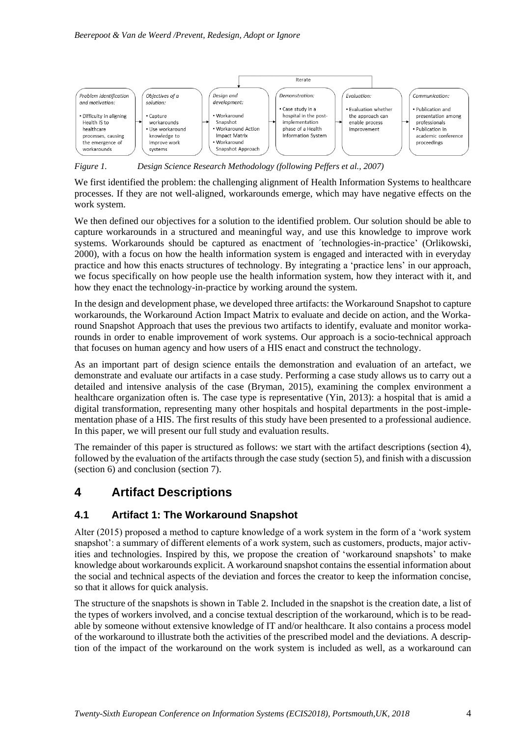

*Figure 1. Design Science Research Methodology (following Peffers et al., 2007)*

We first identified the problem: the challenging alignment of Health Information Systems to healthcare processes. If they are not well-aligned, workarounds emerge, which may have negative effects on the work system.

We then defined our objectives for a solution to the identified problem. Our solution should be able to capture workarounds in a structured and meaningful way, and use this knowledge to improve work systems. Workarounds should be captured as enactment of ´technologies-in-practice' (Orlikowski, 2000), with a focus on how the health information system is engaged and interacted with in everyday practice and how this enacts structures of technology. By integrating a 'practice lens' in our approach, we focus specifically on how people use the health information system, how they interact with it, and how they enact the technology-in-practice by working around the system.

In the design and development phase, we developed three artifacts: the Workaround Snapshot to capture workarounds, the Workaround Action Impact Matrix to evaluate and decide on action, and the Workaround Snapshot Approach that uses the previous two artifacts to identify, evaluate and monitor workarounds in order to enable improvement of work systems. Our approach is a socio-technical approach that focuses on human agency and how users of a HIS enact and construct the technology.

As an important part of design science entails the demonstration and evaluation of an artefact, we demonstrate and evaluate our artifacts in a case study. Performing a case study allows us to carry out a detailed and intensive analysis of the case (Bryman, 2015), examining the complex environment a healthcare organization often is. The case type is representative (Yin, 2013): a hospital that is amid a digital transformation, representing many other hospitals and hospital departments in the post-implementation phase of a HIS. The first results of this study have been presented to a professional audience. In this paper, we will present our full study and evaluation results.

The remainder of this paper is structured as follows: we start with the artifact descriptions (section 4), followed by the evaluation of the artifacts through the case study (section 5), and finish with a discussion (section 6) and conclusion (section 7).

# **4 Artifact Descriptions**

#### **4.1 Artifact 1: The Workaround Snapshot**

Alter (2015) proposed a method to capture knowledge of a work system in the form of a 'work system snapshot': a summary of different elements of a work system, such as customers, products, major activities and technologies. Inspired by this, we propose the creation of 'workaround snapshots' to make knowledge about workarounds explicit. A workaround snapshot contains the essential information about the social and technical aspects of the deviation and forces the creator to keep the information concise, so that it allows for quick analysis.

The structure of the snapshots is shown in Table 2. Included in the snapshot is the creation date, a list of the types of workers involved, and a concise textual description of the workaround, which is to be readable by someone without extensive knowledge of IT and/or healthcare. It also contains a process model of the workaround to illustrate both the activities of the prescribed model and the deviations. A description of the impact of the workaround on the work system is included as well, as a workaround can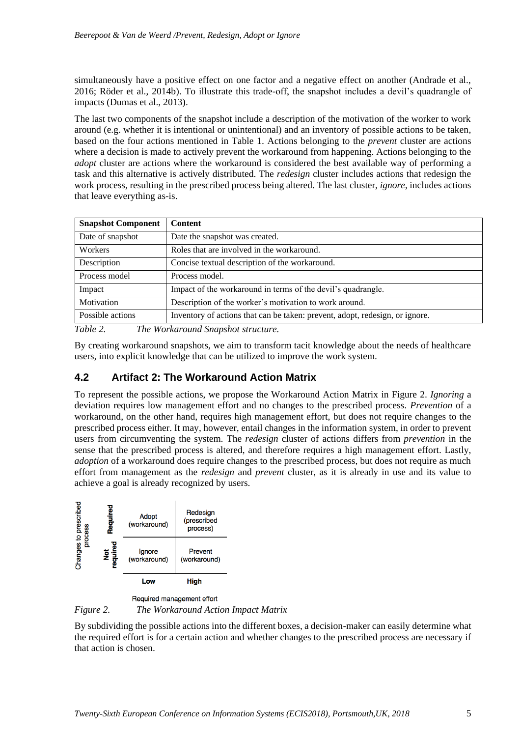simultaneously have a positive effect on one factor and a negative effect on another (Andrade et al., 2016; Röder et al., 2014b). To illustrate this trade-off, the snapshot includes a devil's quadrangle of impacts (Dumas et al., 2013).

The last two components of the snapshot include a description of the motivation of the worker to work around (e.g. whether it is intentional or unintentional) and an inventory of possible actions to be taken, based on the four actions mentioned in Table 1. Actions belonging to the *prevent* cluster are actions where a decision is made to actively prevent the workaround from happening. Actions belonging to the *adopt* cluster are actions where the workaround is considered the best available way of performing a task and this alternative is actively distributed. The *redesign* cluster includes actions that redesign the work process, resulting in the prescribed process being altered. The last cluster, *ignore*, includes actions that leave everything as-is.

| <b>Snapshot Component</b>     | <b>Content</b>                                                               |  |
|-------------------------------|------------------------------------------------------------------------------|--|
| Date of snapshot              | Date the snapshot was created.                                               |  |
| Workers                       | Roles that are involved in the workaround.                                   |  |
| Description                   | Concise textual description of the workaround.                               |  |
| Process model                 | Process model.                                                               |  |
| Impact                        | Impact of the workaround in terms of the devil's quadrangle.                 |  |
| Motivation                    | Description of the worker's motivation to work around.                       |  |
| Possible actions              | Inventory of actions that can be taken: prevent, adopt, redesign, or ignore. |  |
| T11.2<br>$\tau$<br><b>TTT</b> | $\mathbf{I}$<br>$\mathbf{1} \cap \mathbf{1}$ $\mathbf{1} \cup \mathbf{1}$    |  |

*Table 2. The Workaround Snapshot structure.*

By creating workaround snapshots, we aim to transform tacit knowledge about the needs of healthcare users, into explicit knowledge that can be utilized to improve the work system.

#### **4.2 Artifact 2: The Workaround Action Matrix**

To represent the possible actions, we propose the Workaround Action Matrix in Figure 2. *Ignoring* a deviation requires low management effort and no changes to the prescribed process. *Prevention* of a workaround, on the other hand, requires high management effort, but does not require changes to the prescribed process either. It may, however, entail changes in the information system, in order to prevent users from circumventing the system. The *redesign* cluster of actions differs from *prevention* in the sense that the prescribed process is altered, and therefore requires a high management effort. Lastly, *adoption* of a workaround does require changes to the prescribed process, but does not require as much effort from management as the *redesign* and *prevent* cluster, as it is already in use and its value to achieve a goal is already recognized by users.



Required management effort *Figure 2. The Workaround Action Impact Matrix* 

By subdividing the possible actions into the different boxes, a decision-maker can easily determine what the required effort is for a certain action and whether changes to the prescribed process are necessary if that action is chosen.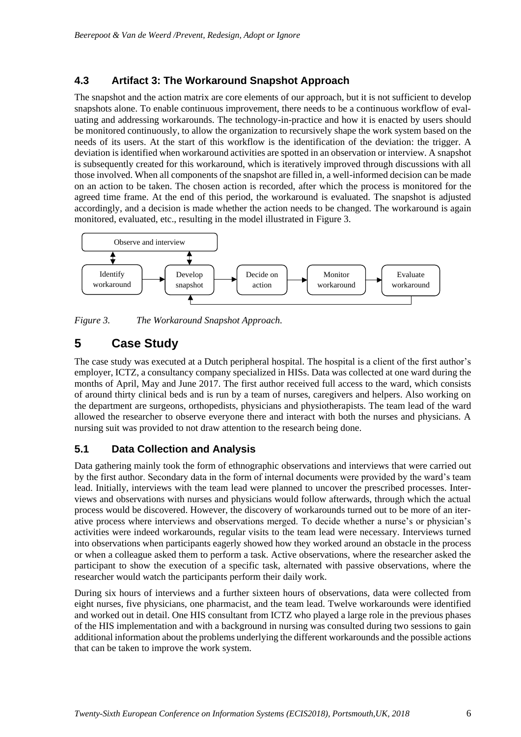#### **4.3 Artifact 3: The Workaround Snapshot Approach**

The snapshot and the action matrix are core elements of our approach, but it is not sufficient to develop snapshots alone. To enable continuous improvement, there needs to be a continuous workflow of evaluating and addressing workarounds. The technology-in-practice and how it is enacted by users should be monitored continuously, to allow the organization to recursively shape the work system based on the needs of its users. At the start of this workflow is the identification of the deviation: the trigger. A deviation is identified when workaround activities are spotted in an observation or interview. A snapshot is subsequently created for this workaround, which is iteratively improved through discussions with all those involved. When all components of the snapshot are filled in, a well-informed decision can be made on an action to be taken. The chosen action is recorded, after which the process is monitored for the agreed time frame. At the end of this period, the workaround is evaluated. The snapshot is adjusted accordingly, and a decision is made whether the action needs to be changed. The workaround is again monitored, evaluated, etc., resulting in the model illustrated in Figure 3.



*Figure 3. The Workaround Snapshot Approach.*

# **5 Case Study**

The case study was executed at a Dutch peripheral hospital. The hospital is a client of the first author's employer, ICTZ, a consultancy company specialized in HISs. Data was collected at one ward during the months of April, May and June 2017. The first author received full access to the ward, which consists of around thirty clinical beds and is run by a team of nurses, caregivers and helpers. Also working on the department are surgeons, orthopedists, physicians and physiotherapists. The team lead of the ward allowed the researcher to observe everyone there and interact with both the nurses and physicians. A nursing suit was provided to not draw attention to the research being done.

#### **5.1 Data Collection and Analysis**

Data gathering mainly took the form of ethnographic observations and interviews that were carried out by the first author. Secondary data in the form of internal documents were provided by the ward's team lead. Initially, interviews with the team lead were planned to uncover the prescribed processes. Interviews and observations with nurses and physicians would follow afterwards, through which the actual process would be discovered. However, the discovery of workarounds turned out to be more of an iterative process where interviews and observations merged. To decide whether a nurse's or physician's activities were indeed workarounds, regular visits to the team lead were necessary. Interviews turned into observations when participants eagerly showed how they worked around an obstacle in the process or when a colleague asked them to perform a task. Active observations, where the researcher asked the participant to show the execution of a specific task, alternated with passive observations, where the researcher would watch the participants perform their daily work.

During six hours of interviews and a further sixteen hours of observations, data were collected from eight nurses, five physicians, one pharmacist, and the team lead. Twelve workarounds were identified and worked out in detail. One HIS consultant from ICTZ who played a large role in the previous phases of the HIS implementation and with a background in nursing was consulted during two sessions to gain additional information about the problems underlying the different workarounds and the possible actions that can be taken to improve the work system.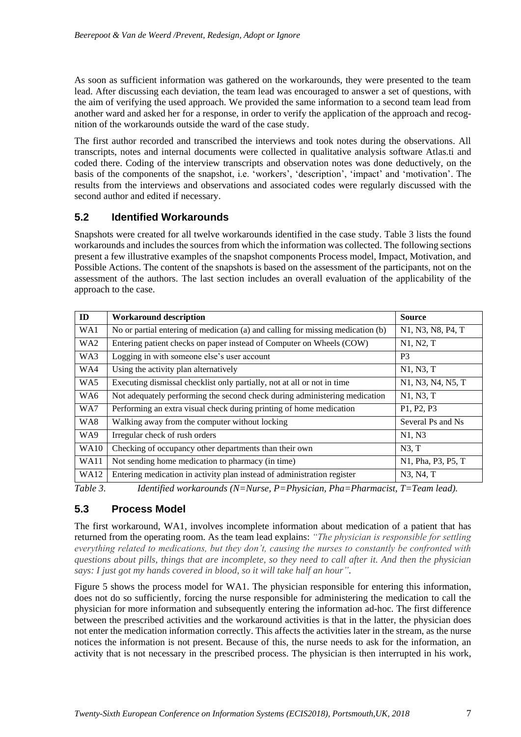As soon as sufficient information was gathered on the workarounds, they were presented to the team lead. After discussing each deviation, the team lead was encouraged to answer a set of questions, with the aim of verifying the used approach. We provided the same information to a second team lead from another ward and asked her for a response, in order to verify the application of the approach and recognition of the workarounds outside the ward of the case study.

The first author recorded and transcribed the interviews and took notes during the observations. All transcripts, notes and internal documents were collected in qualitative analysis software Atlas.ti and coded there. Coding of the interview transcripts and observation notes was done deductively, on the basis of the components of the snapshot, i.e. 'workers', 'description', 'impact' and 'motivation'. The results from the interviews and observations and associated codes were regularly discussed with the second author and edited if necessary.

#### **5.2 Identified Workarounds**

Snapshots were created for all twelve workarounds identified in the case study. Table 3 lists the found workarounds and includes the sources from which the information was collected. The following sections present a few illustrative examples of the snapshot components Process model, Impact, Motivation, and Possible Actions. The content of the snapshots is based on the assessment of the participants, not on the assessment of the authors. The last section includes an overall evaluation of the applicability of the approach to the case.

| ID              | <b>Workaround description</b>                                                   | <b>Source</b>                                                         |
|-----------------|---------------------------------------------------------------------------------|-----------------------------------------------------------------------|
| WA1             | No or partial entering of medication (a) and calling for missing medication (b) | N <sub>1</sub> , N <sub>3</sub> , N <sub>8</sub> , P <sub>4</sub> , T |
| WA <sub>2</sub> | Entering patient checks on paper instead of Computer on Wheels (COW)            | N1, N2, T                                                             |
| WA3             | Logging in with someone else's user account                                     | P <sub>3</sub>                                                        |
| WA4             | Using the activity plan alternatively                                           | N1, N3, T                                                             |
| WA5             | Executing dismissal checklist only partially, not at all or not in time         | N <sub>1</sub> , N <sub>3</sub> , N <sub>4</sub> , N <sub>5</sub> , T |
| WA6             | Not adequately performing the second check during administering medication      | N1, N3, T                                                             |
| WA7             | Performing an extra visual check during printing of home medication             | P1, P2, P3                                                            |
| WA8             | Walking away from the computer without locking                                  | Several Ps and Ns                                                     |
| WA9             | Irregular check of rush orders                                                  | N1, N3                                                                |
| <b>WA10</b>     | Checking of occupancy other departments than their own                          | N3, T                                                                 |
| <b>WA11</b>     | Not sending home medication to pharmacy (in time)                               | N1, Pha, P3, P5, T                                                    |
| <b>WA12</b>     | Entering medication in activity plan instead of administration register         | N3, N4, T                                                             |

*Table 3. Identified workarounds (N=Nurse, P=Physician, Pha=Pharmacist, T=Team lead).*

#### **5.3 Process Model**

The first workaround, WA1, involves incomplete information about medication of a patient that has returned from the operating room. As the team lead explains: *"The physician is responsible for settling everything related to medications, but they don't, causing the nurses to constantly be confronted with questions about pills, things that are incomplete, so they need to call after it. And then the physician says: I just got my hands covered in blood, so it will take half an hour"*.

Figure 5 shows the process model for WA1. The physician responsible for entering this information, does not do so sufficiently, forcing the nurse responsible for administering the medication to call the physician for more information and subsequently entering the information ad-hoc. The first difference between the prescribed activities and the workaround activities is that in the latter, the physician does not enter the medication information correctly. This affects the activities later in the stream, as the nurse notices the information is not present. Because of this, the nurse needs to ask for the information, an activity that is not necessary in the prescribed process. The physician is then interrupted in his work,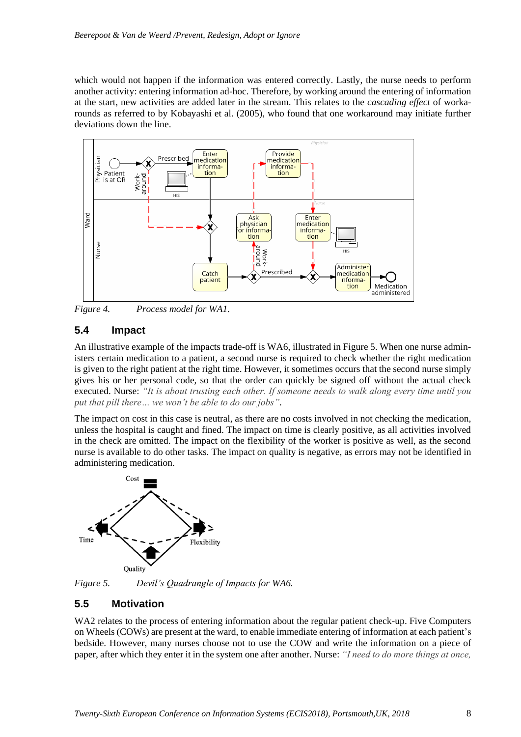which would not happen if the information was entered correctly. Lastly, the nurse needs to perform another activity: entering information ad-hoc. Therefore, by working around the entering of information at the start, new activities are added later in the stream. This relates to the *cascading effect* of workarounds as referred to by Kobayashi et al. (2005), who found that one workaround may initiate further deviations down the line.



*Figure 4. Process model for WA1.*

#### **5.4 Impact**

An illustrative example of the impacts trade-off is WA6, illustrated in Figure 5. When one nurse administers certain medication to a patient, a second nurse is required to check whether the right medication is given to the right patient at the right time. However, it sometimes occurs that the second nurse simply gives his or her personal code, so that the order can quickly be signed off without the actual check executed. Nurse: *"It is about trusting each other. If someone needs to walk along every time until you put that pill there… we won't be able to do our jobs"*.

The impact on cost in this case is neutral, as there are no costs involved in not checking the medication, unless the hospital is caught and fined. The impact on time is clearly positive, as all activities involved in the check are omitted. The impact on the flexibility of the worker is positive as well, as the second nurse is available to do other tasks. The impact on quality is negative, as errors may not be identified in administering medication.



*Figure 5. Devil's Quadrangle of Impacts for WA6.*

#### **5.5 Motivation**

WA2 relates to the process of entering information about the regular patient check-up. Five Computers on Wheels (COWs) are present at the ward, to enable immediate entering of information at each patient's bedside. However, many nurses choose not to use the COW and write the information on a piece of paper, after which they enter it in the system one after another. Nurse: *"I need to do more things at once,*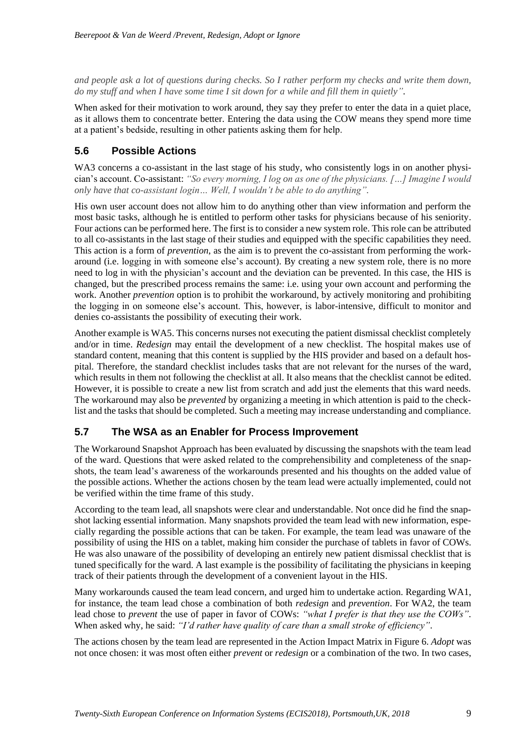*and people ask a lot of questions during checks. So I rather perform my checks and write them down, do my stuff and when I have some time I sit down for a while and fill them in quietly"*.

When asked for their motivation to work around, they say they prefer to enter the data in a quiet place, as it allows them to concentrate better. Entering the data using the COW means they spend more time at a patient's bedside, resulting in other patients asking them for help.

#### **5.6 Possible Actions**

WA3 concerns a co-assistant in the last stage of his study, who consistently logs in on another physician's account. Co-assistant: *"So every morning, I log on as one of the physicians. […] Imagine I would only have that co-assistant login… Well, I wouldn't be able to do anything".*

His own user account does not allow him to do anything other than view information and perform the most basic tasks, although he is entitled to perform other tasks for physicians because of his seniority. Four actions can be performed here. The first is to consider a new system role. This role can be attributed to all co-assistants in the last stage of their studies and equipped with the specific capabilities they need. This action is a form of *prevention*, as the aim is to prevent the co-assistant from performing the workaround (i.e. logging in with someone else's account). By creating a new system role, there is no more need to log in with the physician's account and the deviation can be prevented. In this case, the HIS is changed, but the prescribed process remains the same: i.e. using your own account and performing the work. Another *prevention* option is to prohibit the workaround, by actively monitoring and prohibiting the logging in on someone else's account. This, however, is labor-intensive, difficult to monitor and denies co-assistants the possibility of executing their work.

Another example is WA5. This concerns nurses not executing the patient dismissal checklist completely and/or in time. *Redesign* may entail the development of a new checklist. The hospital makes use of standard content, meaning that this content is supplied by the HIS provider and based on a default hospital. Therefore, the standard checklist includes tasks that are not relevant for the nurses of the ward, which results in them not following the checklist at all. It also means that the checklist cannot be edited. However, it is possible to create a new list from scratch and add just the elements that this ward needs. The workaround may also be *prevented* by organizing a meeting in which attention is paid to the checklist and the tasks that should be completed. Such a meeting may increase understanding and compliance.

#### **5.7 The WSA as an Enabler for Process Improvement**

The Workaround Snapshot Approach has been evaluated by discussing the snapshots with the team lead of the ward. Questions that were asked related to the comprehensibility and completeness of the snapshots, the team lead's awareness of the workarounds presented and his thoughts on the added value of the possible actions. Whether the actions chosen by the team lead were actually implemented, could not be verified within the time frame of this study.

According to the team lead, all snapshots were clear and understandable. Not once did he find the snapshot lacking essential information. Many snapshots provided the team lead with new information, especially regarding the possible actions that can be taken. For example, the team lead was unaware of the possibility of using the HIS on a tablet, making him consider the purchase of tablets in favor of COWs. He was also unaware of the possibility of developing an entirely new patient dismissal checklist that is tuned specifically for the ward. A last example is the possibility of facilitating the physicians in keeping track of their patients through the development of a convenient layout in the HIS.

Many workarounds caused the team lead concern, and urged him to undertake action. Regarding WA1, for instance, the team lead chose a combination of both *redesign* and *prevention*. For WA2, the team lead chose to *prevent* the use of paper in favor of COWs: *"what I prefer is that they use the COWs"*. When asked why, he said: *"I'd rather have quality of care than a small stroke of efficiency"*.

The actions chosen by the team lead are represented in the Action Impact Matrix in Figure 6. *Adopt* was not once chosen: it was most often either *prevent* or *redesign* or a combination of the two. In two cases,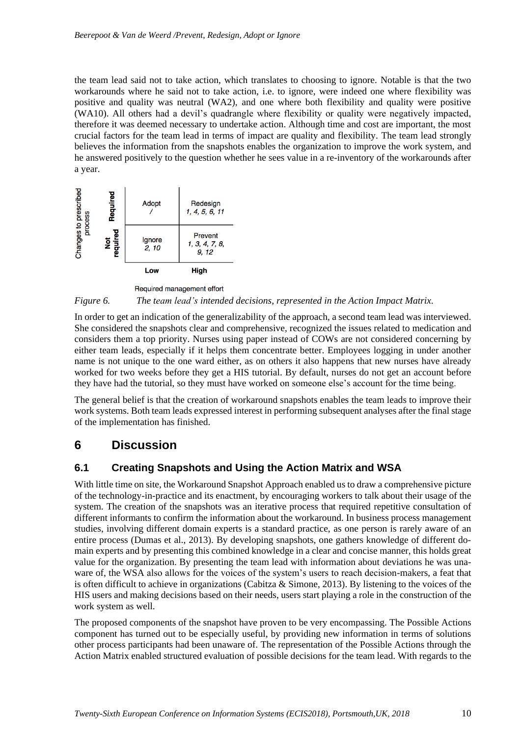the team lead said not to take action, which translates to choosing to ignore. Notable is that the two workarounds where he said not to take action, i.e. to ignore, were indeed one where flexibility was positive and quality was neutral (WA2), and one where both flexibility and quality were positive (WA10). All others had a devil's quadrangle where flexibility or quality were negatively impacted, therefore it was deemed necessary to undertake action. Although time and cost are important, the most crucial factors for the team lead in terms of impact are quality and flexibility. The team lead strongly believes the information from the snapshots enables the organization to improve the work system, and he answered positively to the question whether he sees value in a re-inventory of the workarounds after a year.





In order to get an indication of the generalizability of the approach, a second team lead was interviewed. She considered the snapshots clear and comprehensive, recognized the issues related to medication and considers them a top priority. Nurses using paper instead of COWs are not considered concerning by either team leads, especially if it helps them concentrate better. Employees logging in under another name is not unique to the one ward either, as on others it also happens that new nurses have already worked for two weeks before they get a HIS tutorial. By default, nurses do not get an account before they have had the tutorial, so they must have worked on someone else's account for the time being.

The general belief is that the creation of workaround snapshots enables the team leads to improve their work systems. Both team leads expressed interest in performing subsequent analyses after the final stage of the implementation has finished.

### **6 Discussion**

#### **6.1 Creating Snapshots and Using the Action Matrix and WSA**

With little time on site, the Workaround Snapshot Approach enabled us to draw a comprehensive picture of the technology-in-practice and its enactment, by encouraging workers to talk about their usage of the system. The creation of the snapshots was an iterative process that required repetitive consultation of different informants to confirm the information about the workaround. In business process management studies, involving different domain experts is a standard practice, as one person is rarely aware of an entire process (Dumas et al., 2013). By developing snapshots, one gathers knowledge of different domain experts and by presenting this combined knowledge in a clear and concise manner, this holds great value for the organization. By presenting the team lead with information about deviations he was unaware of, the WSA also allows for the voices of the system's users to reach decision-makers, a feat that is often difficult to achieve in organizations (Cabitza & Simone, 2013). By listening to the voices of the HIS users and making decisions based on their needs, users start playing a role in the construction of the work system as well.

The proposed components of the snapshot have proven to be very encompassing. The Possible Actions component has turned out to be especially useful, by providing new information in terms of solutions other process participants had been unaware of. The representation of the Possible Actions through the Action Matrix enabled structured evaluation of possible decisions for the team lead. With regards to the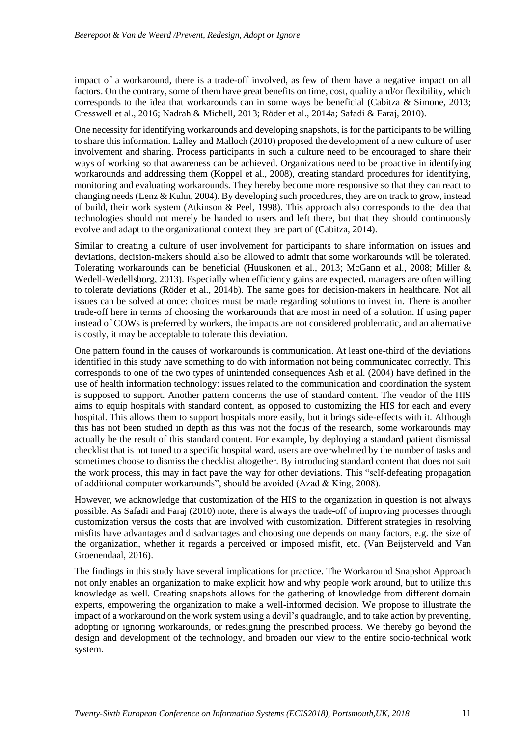impact of a workaround, there is a trade-off involved, as few of them have a negative impact on all factors. On the contrary, some of them have great benefits on time, cost, quality and/or flexibility, which corresponds to the idea that workarounds can in some ways be beneficial (Cabitza  $\&$  Simone, 2013; Cresswell et al., 2016; Nadrah & Michell, 2013; Röder et al., 2014a; Safadi & Faraj, 2010).

One necessity for identifying workarounds and developing snapshots, is for the participants to be willing to share this information. Lalley and Malloch (2010) proposed the development of a new culture of user involvement and sharing. Process participants in such a culture need to be encouraged to share their ways of working so that awareness can be achieved. Organizations need to be proactive in identifying workarounds and addressing them (Koppel et al., 2008), creating standard procedures for identifying, monitoring and evaluating workarounds. They hereby become more responsive so that they can react to changing needs (Lenz & Kuhn, 2004). By developing such procedures, they are on track to grow, instead of build, their work system (Atkinson & Peel, 1998). This approach also corresponds to the idea that technologies should not merely be handed to users and left there, but that they should continuously evolve and adapt to the organizational context they are part of (Cabitza, 2014).

Similar to creating a culture of user involvement for participants to share information on issues and deviations, decision-makers should also be allowed to admit that some workarounds will be tolerated. Tolerating workarounds can be beneficial (Huuskonen et al., 2013; McGann et al., 2008; Miller & Wedell-Wedellsborg, 2013). Especially when efficiency gains are expected, managers are often willing to tolerate deviations (Röder et al., 2014b). The same goes for decision-makers in healthcare. Not all issues can be solved at once: choices must be made regarding solutions to invest in. There is another trade-off here in terms of choosing the workarounds that are most in need of a solution. If using paper instead of COWs is preferred by workers, the impacts are not considered problematic, and an alternative is costly, it may be acceptable to tolerate this deviation.

One pattern found in the causes of workarounds is communication. At least one-third of the deviations identified in this study have something to do with information not being communicated correctly. This corresponds to one of the two types of unintended consequences Ash et al. (2004) have defined in the use of health information technology: issues related to the communication and coordination the system is supposed to support. Another pattern concerns the use of standard content. The vendor of the HIS aims to equip hospitals with standard content, as opposed to customizing the HIS for each and every hospital. This allows them to support hospitals more easily, but it brings side-effects with it. Although this has not been studied in depth as this was not the focus of the research, some workarounds may actually be the result of this standard content. For example, by deploying a standard patient dismissal checklist that is not tuned to a specific hospital ward, users are overwhelmed by the number of tasks and sometimes choose to dismiss the checklist altogether. By introducing standard content that does not suit the work process, this may in fact pave the way for other deviations. This "self-defeating propagation of additional computer workarounds", should be avoided (Azad & King, 2008).

However, we acknowledge that customization of the HIS to the organization in question is not always possible. As Safadi and Faraj (2010) note, there is always the trade-off of improving processes through customization versus the costs that are involved with customization. Different strategies in resolving misfits have advantages and disadvantages and choosing one depends on many factors, e.g. the size of the organization, whether it regards a perceived or imposed misfit, etc. (Van Beijsterveld and Van Groenendaal, 2016).

The findings in this study have several implications for practice. The Workaround Snapshot Approach not only enables an organization to make explicit how and why people work around, but to utilize this knowledge as well. Creating snapshots allows for the gathering of knowledge from different domain experts, empowering the organization to make a well-informed decision. We propose to illustrate the impact of a workaround on the work system using a devil's quadrangle, and to take action by preventing, adopting or ignoring workarounds, or redesigning the prescribed process. We thereby go beyond the design and development of the technology, and broaden our view to the entire socio-technical work system.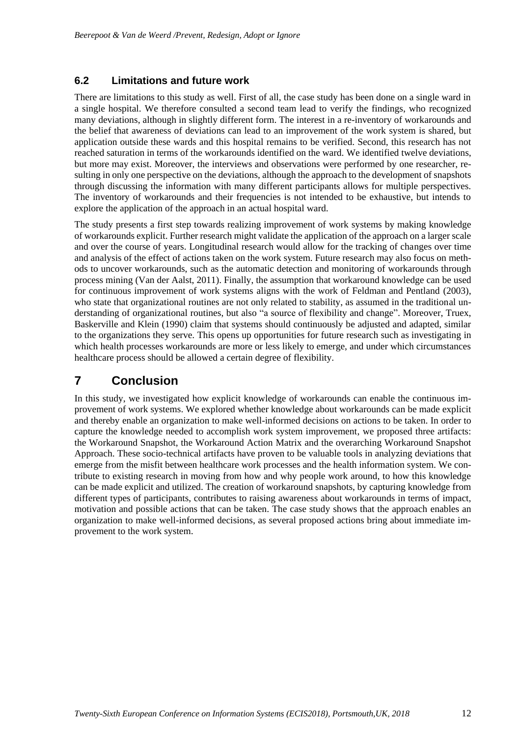#### **6.2 Limitations and future work**

There are limitations to this study as well. First of all, the case study has been done on a single ward in a single hospital. We therefore consulted a second team lead to verify the findings, who recognized many deviations, although in slightly different form. The interest in a re-inventory of workarounds and the belief that awareness of deviations can lead to an improvement of the work system is shared, but application outside these wards and this hospital remains to be verified. Second, this research has not reached saturation in terms of the workarounds identified on the ward. We identified twelve deviations, but more may exist. Moreover, the interviews and observations were performed by one researcher, resulting in only one perspective on the deviations, although the approach to the development of snapshots through discussing the information with many different participants allows for multiple perspectives. The inventory of workarounds and their frequencies is not intended to be exhaustive, but intends to explore the application of the approach in an actual hospital ward.

The study presents a first step towards realizing improvement of work systems by making knowledge of workarounds explicit. Further research might validate the application of the approach on a larger scale and over the course of years. Longitudinal research would allow for the tracking of changes over time and analysis of the effect of actions taken on the work system. Future research may also focus on methods to uncover workarounds, such as the automatic detection and monitoring of workarounds through process mining (Van der Aalst, 2011). Finally, the assumption that workaround knowledge can be used for continuous improvement of work systems aligns with the work of Feldman and Pentland (2003), who state that organizational routines are not only related to stability, as assumed in the traditional understanding of organizational routines, but also "a source of flexibility and change". Moreover, Truex, Baskerville and Klein (1990) claim that systems should continuously be adjusted and adapted, similar to the organizations they serve. This opens up opportunities for future research such as investigating in which health processes workarounds are more or less likely to emerge, and under which circumstances healthcare process should be allowed a certain degree of flexibility.

### **7 Conclusion**

In this study, we investigated how explicit knowledge of workarounds can enable the continuous improvement of work systems. We explored whether knowledge about workarounds can be made explicit and thereby enable an organization to make well-informed decisions on actions to be taken. In order to capture the knowledge needed to accomplish work system improvement, we proposed three artifacts: the Workaround Snapshot, the Workaround Action Matrix and the overarching Workaround Snapshot Approach. These socio-technical artifacts have proven to be valuable tools in analyzing deviations that emerge from the misfit between healthcare work processes and the health information system. We contribute to existing research in moving from how and why people work around, to how this knowledge can be made explicit and utilized. The creation of workaround snapshots, by capturing knowledge from different types of participants, contributes to raising awareness about workarounds in terms of impact, motivation and possible actions that can be taken. The case study shows that the approach enables an organization to make well-informed decisions, as several proposed actions bring about immediate improvement to the work system.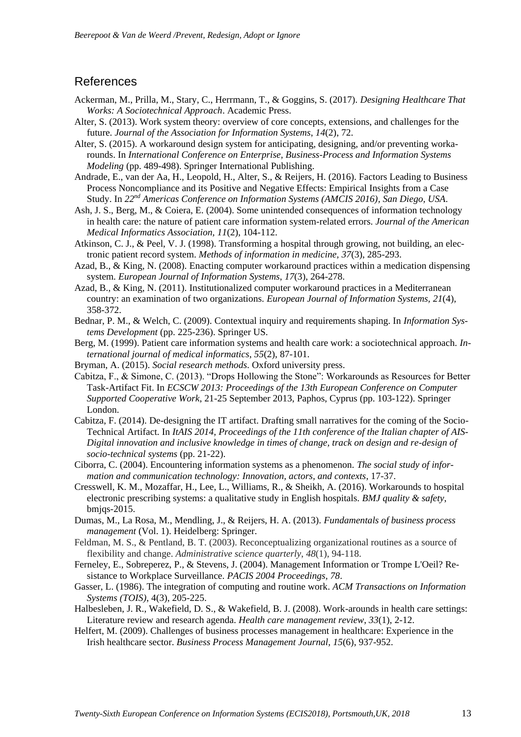#### References

- Ackerman, M., Prilla, M., Stary, C., Herrmann, T., & Goggins, S. (2017). *Designing Healthcare That Works: A Sociotechnical Approach*. Academic Press.
- Alter, S. (2013). Work system theory: overview of core concepts, extensions, and challenges for the future. *Journal of the Association for Information Systems*, *14*(2), 72.
- Alter, S. (2015). A workaround design system for anticipating, designing, and/or preventing workarounds. In *International Conference on Enterprise, Business-Process and Information Systems Modeling* (pp. 489-498). Springer International Publishing.
- Andrade, E., van der Aa, H., Leopold, H., Alter, S., & Reijers, H. (2016). Factors Leading to Business Process Noncompliance and its Positive and Negative Effects: Empirical Insights from a Case Study. In *22nd Americas Conference on Information Systems (AMCIS 2016), San Diego, USA*.
- Ash, J. S., Berg, M., & Coiera, E. (2004). Some unintended consequences of information technology in health care: the nature of patient care information system-related errors. *Journal of the American Medical Informatics Association, 11*(2), 104-112.
- Atkinson, C. J., & Peel, V. J. (1998). Transforming a hospital through growing, not building, an electronic patient record system. *Methods of information in medicine, 37*(3), 285-293.
- Azad, B., & King, N. (2008). Enacting computer workaround practices within a medication dispensing system. *European Journal of Information Systems*, *17*(3), 264-278.
- Azad, B., & King, N. (2011). Institutionalized computer workaround practices in a Mediterranean country: an examination of two organizations. *European Journal of Information Systems, 21*(4), 358-372.
- Bednar, P. M., & Welch, C. (2009). Contextual inquiry and requirements shaping. In *Information Systems Development* (pp. 225-236). Springer US.
- Berg, M. (1999). Patient care information systems and health care work: a sociotechnical approach. *International journal of medical informatics*, *55*(2), 87-101.
- Bryman, A. (2015). *Social research methods*. Oxford university press.
- Cabitza, F., & Simone, C. (2013). "Drops Hollowing the Stone": Workarounds as Resources for Better Task-Artifact Fit. In *ECSCW 2013: Proceedings of the 13th European Conference on Computer Supported Cooperative Work*, 21-25 September 2013, Paphos, Cyprus (pp. 103-122). Springer London.
- Cabitza, F. (2014). De-designing the IT artifact. Drafting small narratives for the coming of the Socio-Technical Artifact. In *ItAIS 2014, Proceedings of the 11th conference of the Italian chapter of AIS-Digital innovation and inclusive knowledge in times of change, track on design and re-design of socio-technical systems* (pp. 21-22).
- Ciborra, C. (2004). Encountering information systems as a phenomenon. *The social study of information and communication technology: Innovation, actors, and contexts*, 17-37.
- Cresswell, K. M., Mozaffar, H., Lee, L., Williams, R., & Sheikh, A. (2016). Workarounds to hospital electronic prescribing systems: a qualitative study in English hospitals. *BMJ quality & safety*, bmjqs-2015.
- Dumas, M., La Rosa, M., Mendling, J., & Reijers, H. A. (2013). *Fundamentals of business process management* (Vol. 1). Heidelberg: Springer.
- Feldman, M. S., & Pentland, B. T. (2003). Reconceptualizing organizational routines as a source of flexibility and change. *Administrative science quarterly*, *48*(1), 94-118.
- Ferneley, E., Sobreperez, P., & Stevens, J. (2004). Management Information or Trompe L'Oeil? Resistance to Workplace Surveillance. *PACIS 2004 Proceedings, 78*.
- Gasser, L. (1986). The integration of computing and routine work. *ACM Transactions on Information Systems (TOIS)*, 4(3), 205-225.
- Halbesleben, J. R., Wakefield, D. S., & Wakefield, B. J. (2008). Work-arounds in health care settings: Literature review and research agenda. *Health care management review*, *33*(1), 2-12.
- Helfert, M. (2009). Challenges of business processes management in healthcare: Experience in the Irish healthcare sector. *Business Process Management Journal, 15*(6), 937-952.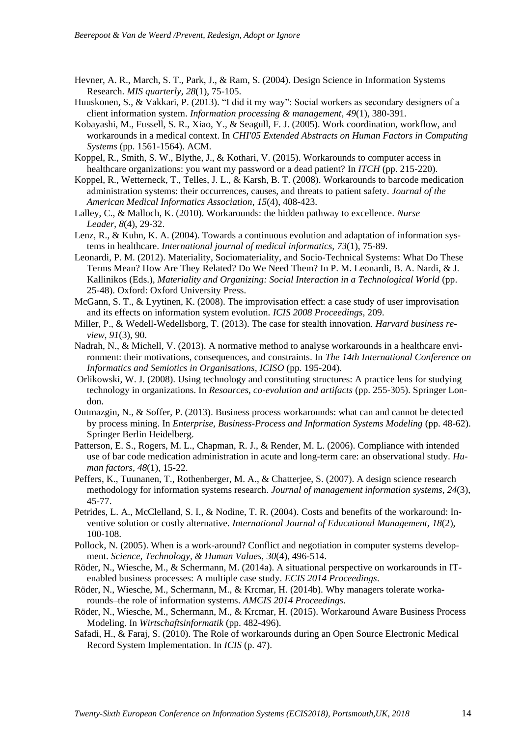- Hevner, A. R., March, S. T., Park, J., & Ram, S. (2004). Design Science in Information Systems Research. *MIS quarterly, 28*(1), 75-105.
- Huuskonen, S., & Vakkari, P. (2013). "I did it my way": Social workers as secondary designers of a client information system. *Information processing & management*, *49*(1), 380-391.
- Kobayashi, M., Fussell, S. R., Xiao, Y., & Seagull, F. J. (2005). Work coordination, workflow, and workarounds in a medical context. In *CHI'05 Extended Abstracts on Human Factors in Computing Systems* (pp. 1561-1564). ACM.
- Koppel, R., Smith, S. W., Blythe, J., & Kothari, V. (2015). Workarounds to computer access in healthcare organizations: you want my password or a dead patient? In *ITCH* (pp. 215-220).
- Koppel, R., Wetterneck, T., Telles, J. L., & Karsh, B. T. (2008). Workarounds to barcode medication administration systems: their occurrences, causes, and threats to patient safety. *Journal of the American Medical Informatics Association, 15*(4), 408-423.
- Lalley, C., & Malloch, K. (2010). Workarounds: the hidden pathway to excellence. *Nurse Leader*, *8*(4), 29-32.
- Lenz, R., & Kuhn, K. A. (2004). Towards a continuous evolution and adaptation of information systems in healthcare. *International journal of medical informatics, 73*(1), 75-89.
- Leonardi, P. M. (2012). Materiality, Sociomateriality, and Socio-Technical Systems: What Do These Terms Mean? How Are They Related? Do We Need Them? In P. M. Leonardi, B. A. Nardi, & J. Kallinikos (Eds.), *Materiality and Organizing: Social Interaction in a Technological World* (pp. 25-48). Oxford: Oxford University Press.
- McGann, S. T., & Lyytinen, K. (2008). The improvisation effect: a case study of user improvisation and its effects on information system evolution. *ICIS 2008 Proceedings*, 209.
- Miller, P., & Wedell-Wedellsborg, T. (2013). The case for stealth innovation. *Harvard business review*, *91*(3), 90.
- Nadrah, N., & Michell, V. (2013). A normative method to analyse workarounds in a healthcare environment: their motivations, consequences, and constraints. In *The 14th International Conference on Informatics and Semiotics in Organisations, ICISO* (pp. 195-204).
- Orlikowski, W. J. (2008). Using technology and constituting structures: A practice lens for studying technology in organizations. In *Resources, co-evolution and artifacts* (pp. 255-305). Springer London.
- Outmazgin, N., & Soffer, P. (2013). Business process workarounds: what can and cannot be detected by process mining. In *Enterprise, Business-Process and Information Systems Modeling* (pp. 48-62). Springer Berlin Heidelberg.
- Patterson, E. S., Rogers, M. L., Chapman, R. J., & Render, M. L. (2006). Compliance with intended use of bar code medication administration in acute and long-term care: an observational study. *Human factors, 48*(1), 15-22.
- Peffers, K., Tuunanen, T., Rothenberger, M. A., & Chatterjee, S. (2007). A design science research methodology for information systems research. *Journal of management information systems*, *24*(3), 45-77.
- Petrides, L. A., McClelland, S. I., & Nodine, T. R. (2004). Costs and benefits of the workaround: Inventive solution or costly alternative. *International Journal of Educational Management, 18*(2), 100-108.
- Pollock, N. (2005). When is a work-around? Conflict and negotiation in computer systems development. *Science, Technology, & Human Values, 30*(4), 496-514.
- Röder, N., Wiesche, M., & Schermann, M. (2014a). A situational perspective on workarounds in ITenabled business processes: A multiple case study. *ECIS 2014 Proceedings*.
- Röder, N., Wiesche, M., Schermann, M., & Krcmar, H. (2014b). Why managers tolerate workarounds–the role of information systems. *AMCIS 2014 Proceedings*.
- Röder, N., Wiesche, M., Schermann, M., & Krcmar, H. (2015). Workaround Aware Business Process Modeling. In *Wirtschaftsinformatik* (pp. 482-496).
- Safadi, H., & Faraj, S. (2010). The Role of workarounds during an Open Source Electronic Medical Record System Implementation. In *ICIS* (p. 47).